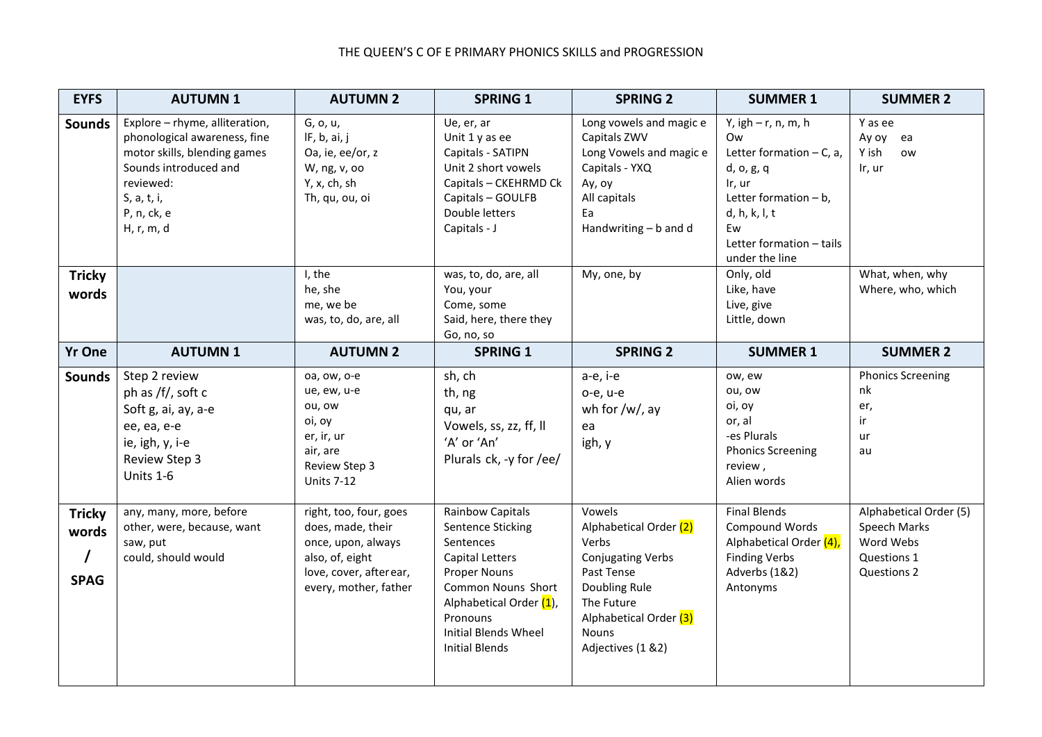## THE QUEEN'S C OF E PRIMARY PHONICS SKILLS and PROGRESSION

| <b>EYFS</b>                                       | <b>AUTUMN1</b>                                                                                                                                                                   | <b>AUTUMN 2</b>                                                                                                                          | <b>SPRING 1</b>                                                                                                                                                                                                                 | <b>SPRING 2</b>                                                                                                                                                            | <b>SUMMER 1</b>                                                                                                                                                                    | <b>SUMMER 2</b>                                                                   |
|---------------------------------------------------|----------------------------------------------------------------------------------------------------------------------------------------------------------------------------------|------------------------------------------------------------------------------------------------------------------------------------------|---------------------------------------------------------------------------------------------------------------------------------------------------------------------------------------------------------------------------------|----------------------------------------------------------------------------------------------------------------------------------------------------------------------------|------------------------------------------------------------------------------------------------------------------------------------------------------------------------------------|-----------------------------------------------------------------------------------|
| <b>Sounds</b>                                     | Explore - rhyme, alliteration,<br>phonological awareness, fine<br>motor skills, blending games<br>Sounds introduced and<br>reviewed:<br>S, a, t, i,<br>P, n, ck, e<br>H, r, m, d | G, o, u,<br>IF, b, ai, j<br>Oa, ie, ee/or, z<br>W, ng, v, oo<br>Y, x, ch, sh<br>Th, qu, ou, oi                                           | Ue, er, ar<br>Unit 1 y as ee<br>Capitals - SATIPN<br>Unit 2 short vowels<br>Capitals - CKEHRMD Ck<br>Capitals - GOULFB<br>Double letters<br>Capitals - J                                                                        | Long vowels and magic e<br>Capitals ZWV<br>Long Vowels and magic e<br>Capitals - YXQ<br>Ay, oy<br>All capitals<br>Ea<br>Handwriting - b and d                              | Y, igh $-$ r, n, m, h<br>Ow<br>Letter formation $-$ C, a,<br>d, o, g, q<br>Ir, ur<br>Letter formation $- b$ ,<br>d, h, k, l, t<br>Ew<br>Letter formation - tails<br>under the line | Y as ee<br>Ay oy<br>ea<br>Y ish<br>ow<br>Ir, ur                                   |
| <b>Tricky</b><br>words                            |                                                                                                                                                                                  | I, the<br>he, she<br>me, we be<br>was, to, do, are, all                                                                                  | was, to, do, are, all<br>You, your<br>Come, some<br>Said, here, there they<br>Go, no, so                                                                                                                                        | My, one, by                                                                                                                                                                | Only, old<br>Like, have<br>Live, give<br>Little, down                                                                                                                              | What, when, why<br>Where, who, which                                              |
| <b>Yr One</b>                                     | <b>AUTUMN1</b>                                                                                                                                                                   | <b>AUTUMN 2</b>                                                                                                                          | <b>SPRING 1</b>                                                                                                                                                                                                                 | <b>SPRING 2</b>                                                                                                                                                            | <b>SUMMER 1</b>                                                                                                                                                                    | <b>SUMMER 2</b>                                                                   |
| <b>Sounds</b>                                     | Step 2 review<br>ph as /f/, soft c<br>Soft g, ai, ay, a-e<br>ee, ea, e-e<br>ie, igh, y, i-e<br><b>Review Step 3</b><br>Units 1-6                                                 | oa, ow, o-e<br>ue, ew, u-e<br>ou, ow<br>oi, oy<br>er, ir, ur<br>air, are<br>Review Step 3<br><b>Units 7-12</b>                           | sh, ch<br>th, ng<br>qu, ar<br>Vowels, ss, zz, ff, II<br>'A' or 'An'<br>Plurals ck, -y for /ee/                                                                                                                                  | a-e, i-e<br>o-e, u-e<br>wh for $/w/$ , ay<br>ea<br>igh, y                                                                                                                  | ow, ew<br>ou, ow<br>oi, oy<br>or, al<br>-es Plurals<br><b>Phonics Screening</b><br>review,<br>Alien words                                                                          | <b>Phonics Screening</b><br>nk<br>er,<br>ir<br>ur<br>au                           |
| <b>Tricky</b><br>words<br>$\prime$<br><b>SPAG</b> | any, many, more, before<br>other, were, because, want<br>saw, put<br>could, should would                                                                                         | right, too, four, goes<br>does, made, their<br>once, upon, always<br>also, of, eight<br>love, cover, after ear,<br>every, mother, father | Rainbow Capitals<br><b>Sentence Sticking</b><br>Sentences<br><b>Capital Letters</b><br><b>Proper Nouns</b><br>Common Nouns Short<br>Alphabetical Order (1),<br>Pronouns<br><b>Initial Blends Wheel</b><br><b>Initial Blends</b> | Vowels<br>Alphabetical Order (2)<br>Verbs<br>Conjugating Verbs<br>Past Tense<br>Doubling Rule<br>The Future<br>Alphabetical Order (3)<br><b>Nouns</b><br>Adjectives (1 &2) | <b>Final Blends</b><br>Compound Words<br>Alphabetical Order (4),<br><b>Finding Verbs</b><br>Adverbs (1&2)<br>Antonyms                                                              | Alphabetical Order (5)<br>Speech Marks<br>Word Webs<br>Questions 1<br>Questions 2 |